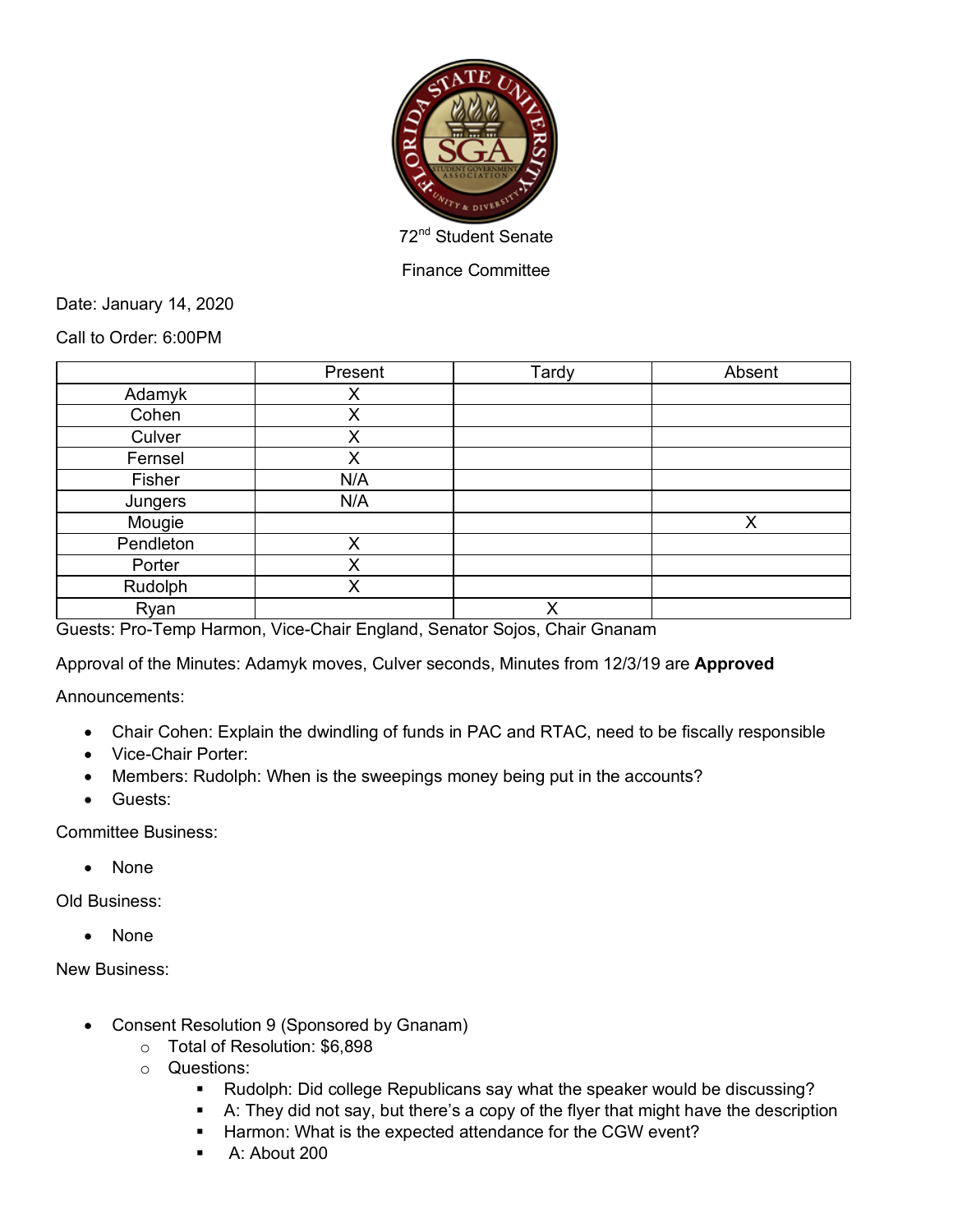

Finance Committee

Date: January 14, 2020

Call to Order: 6:00PM

|           | Present | Tardy | Absent |
|-----------|---------|-------|--------|
| Adamyk    | X       |       |        |
| Cohen     | X       |       |        |
| Culver    | X       |       |        |
| Fernsel   | X       |       |        |
| Fisher    | N/A     |       |        |
| Jungers   | N/A     |       |        |
| Mougie    |         |       | X      |
| Pendleton | X       |       |        |
| Porter    | X       |       |        |
| Rudolph   | X       |       |        |
| Ryan      |         | X     |        |

Guests: Pro-Temp Harmon, Vice-Chair England, Senator Sojos, Chair Gnanam

Approval of the Minutes: Adamyk moves, Culver seconds, Minutes from 12/3/19 are **Approved**

Announcements:

- Chair Cohen: Explain the dwindling of funds in PAC and RTAC, need to be fiscally responsible
- Vice-Chair Porter:
- Members: Rudolph: When is the sweepings money being put in the accounts?
- Guests:

Committee Business:

• None

Old Business:

• None

New Business:

- Consent Resolution 9 (Sponsored by Gnanam)
	- o Total of Resolution: \$6,898
	- o Questions:
		- § Rudolph: Did college Republicans say what the speaker would be discussing?
		- A: They did not say, but there's a copy of the flyer that might have the description
		- Harmon: What is the expected attendance for the CGW event?
		- § A: About 200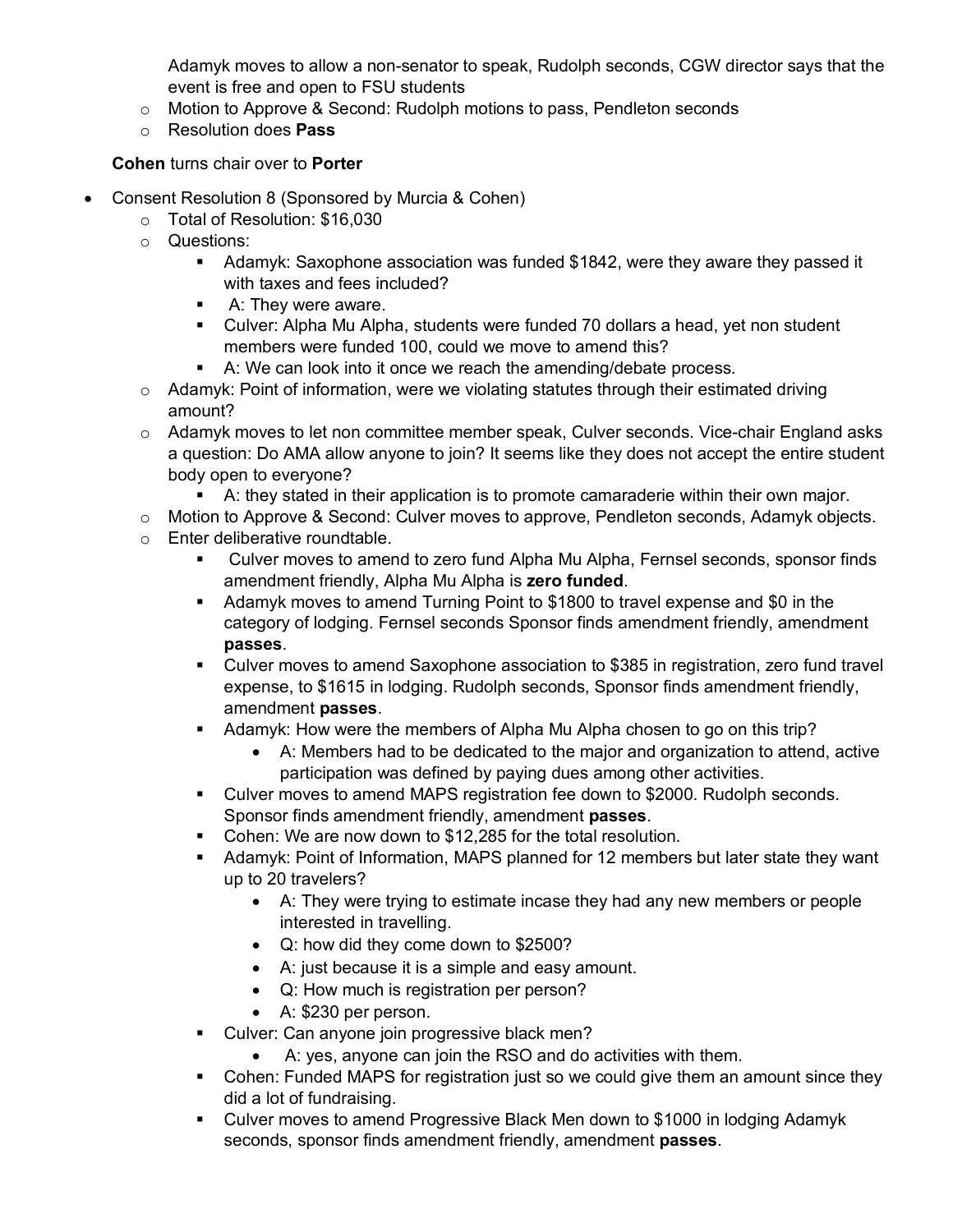Adamyk moves to allow a non-senator to speak, Rudolph seconds, CGW director says that the event is free and open to FSU students

- $\circ$  Motion to Approve & Second: Rudolph motions to pass, Pendleton seconds
- o Resolution does **Pass**

**Cohen** turns chair over to **Porter**

- Consent Resolution 8 (Sponsored by Murcia & Cohen)
	- o Total of Resolution: \$16,030
	- o Questions:
		- § Adamyk: Saxophone association was funded \$1842, were they aware they passed it with taxes and fees included?
		- A: They were aware.
		- § Culver: Alpha Mu Alpha, students were funded 70 dollars a head, yet non student members were funded 100, could we move to amend this?
		- A: We can look into it once we reach the amending/debate process.
	- $\circ$  Adamyk: Point of information, were we violating statutes through their estimated driving amount?
	- o Adamyk moves to let non committee member speak, Culver seconds. Vice-chair England asks a question: Do AMA allow anyone to join? It seems like they does not accept the entire student body open to everyone?
		- A: they stated in their application is to promote camaraderie within their own major.
	- o Motion to Approve & Second: Culver moves to approve, Pendleton seconds, Adamyk objects.
	- o Enter deliberative roundtable.
		- § Culver moves to amend to zero fund Alpha Mu Alpha, Fernsel seconds, sponsor finds amendment friendly, Alpha Mu Alpha is **zero funded**.
		- § Adamyk moves to amend Turning Point to \$1800 to travel expense and \$0 in the category of lodging. Fernsel seconds Sponsor finds amendment friendly, amendment **passes**.
		- Culver moves to amend Saxophone association to \$385 in registration, zero fund travel expense, to \$1615 in lodging. Rudolph seconds, Sponsor finds amendment friendly, amendment **passes**.
		- § Adamyk: How were the members of Alpha Mu Alpha chosen to go on this trip?
			- A: Members had to be dedicated to the major and organization to attend, active participation was defined by paying dues among other activities.
		- § Culver moves to amend MAPS registration fee down to \$2000. Rudolph seconds. Sponsor finds amendment friendly, amendment **passes**.
		- Cohen: We are now down to \$12,285 for the total resolution.
		- Adamyk: Point of Information, MAPS planned for 12 members but later state they want up to 20 travelers?
			- A: They were trying to estimate incase they had any new members or people interested in travelling.
			- Q: how did they come down to \$2500?
			- A: just because it is a simple and easy amount.
			- Q: How much is registration per person?
			- A: \$230 per person.
		- Culver: Can anyone join progressive black men?
			- A: yes, anyone can join the RSO and do activities with them.
		- Cohen: Funded MAPS for registration just so we could give them an amount since they did a lot of fundraising.
		- Culver moves to amend Progressive Black Men down to \$1000 in lodging Adamyk seconds, sponsor finds amendment friendly, amendment **passes**.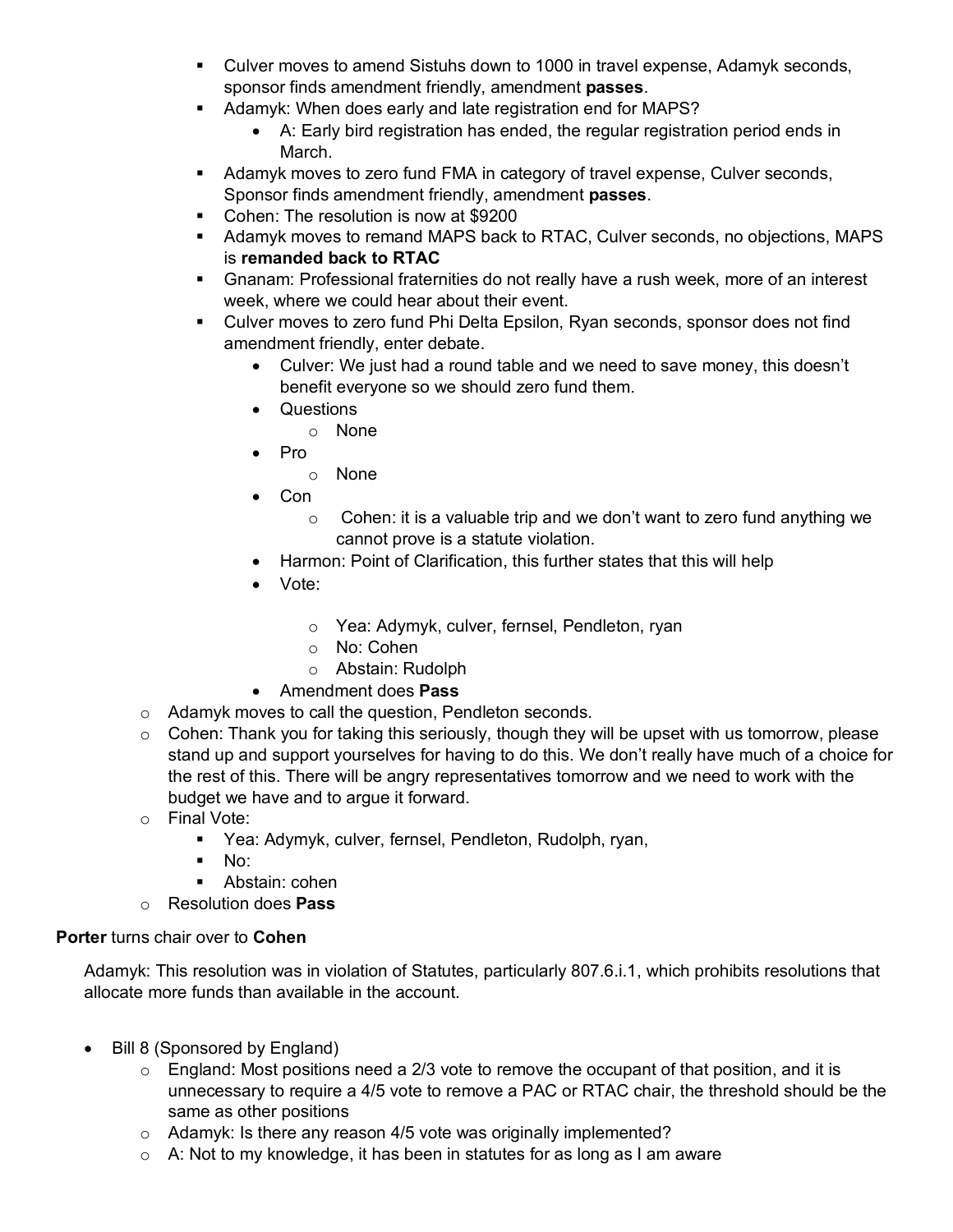- § Culver moves to amend Sistuhs down to 1000 in travel expense, Adamyk seconds, sponsor finds amendment friendly, amendment **passes**.
- § Adamyk: When does early and late registration end for MAPS?
	- A: Early bird registration has ended, the regular registration period ends in March.
- Adamyk moves to zero fund FMA in category of travel expense, Culver seconds, Sponsor finds amendment friendly, amendment **passes**.
- Cohen: The resolution is now at \$9200
- § Adamyk moves to remand MAPS back to RTAC, Culver seconds, no objections, MAPS is **remanded back to RTAC**
- § Gnanam: Professional fraternities do not really have a rush week, more of an interest week, where we could hear about their event.
- Culver moves to zero fund Phi Delta Epsilon, Ryan seconds, sponsor does not find amendment friendly, enter debate.
	- Culver: We just had a round table and we need to save money, this doesn't benefit everyone so we should zero fund them.
	- Questions
		- o None
	- Pro
		- o None
	- Con
		- $\circ$  Cohen: it is a valuable trip and we don't want to zero fund anything we cannot prove is a statute violation.
	- Harmon: Point of Clarification, this further states that this will help
	- Vote:
		- o Yea: Adymyk, culver, fernsel, Pendleton, ryan
		- o No: Cohen
		- o Abstain: Rudolph
	- Amendment does **Pass**
- o Adamyk moves to call the question, Pendleton seconds.
- $\circ$  Cohen: Thank you for taking this seriously, though they will be upset with us tomorrow, please stand up and support yourselves for having to do this. We don't really have much of a choice for the rest of this. There will be angry representatives tomorrow and we need to work with the budget we have and to argue it forward.
- o Final Vote:
	- § Yea: Adymyk, culver, fernsel, Pendleton, Rudolph, ryan,
	- $\blacksquare$  No:
	- Abstain: cohen
- o Resolution does **Pass**

## **Porter** turns chair over to **Cohen**

Adamyk: This resolution was in violation of Statutes, particularly 807.6.i.1, which prohibits resolutions that allocate more funds than available in the account.

- Bill 8 (Sponsored by England)
	- $\circ$  England: Most positions need a 2/3 vote to remove the occupant of that position, and it is unnecessary to require a 4/5 vote to remove a PAC or RTAC chair, the threshold should be the same as other positions
	- $\circ$  Adamyk: Is there any reason 4/5 vote was originally implemented?
	- $\circ$  A: Not to my knowledge, it has been in statutes for as long as I am aware